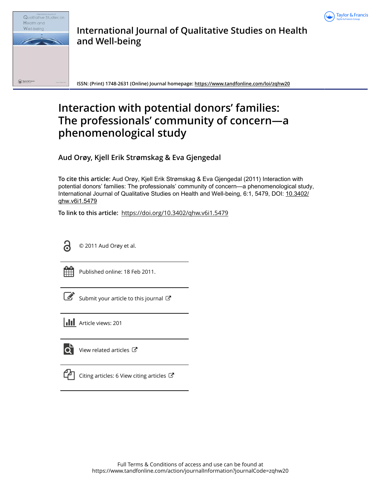



**International Journal of Qualitative Studies on Health and Well-being**

**ISSN: (Print) 1748-2631 (Online) Journal homepage:<https://www.tandfonline.com/loi/zqhw20>**

# **Interaction with potential donors' families: The professionals' community of concern—a phenomenological study**

**Aud Orøy, Kjell Erik Strømskag & Eva Gjengedal**

**To cite this article:** Aud Orøy, Kjell Erik Strømskag & Eva Gjengedal (2011) Interaction with potential donors' families: The professionals' community of concern—a phenomenological study, International Journal of Qualitative Studies on Health and Well-being, 6:1, 5479, DOI: [10.3402/](https://www.tandfonline.com/action/showCitFormats?doi=10.3402/qhw.v6i1.5479) [qhw.v6i1.5479](https://www.tandfonline.com/action/showCitFormats?doi=10.3402/qhw.v6i1.5479)

**To link to this article:** <https://doi.org/10.3402/qhw.v6i1.5479>

| ٠<br>× |  |
|--------|--|
|        |  |

© 2011 Aud Orøy et al.

Published online: 18 Feb 2011.

| I |  |
|---|--|

[Submit your article to this journal](https://www.tandfonline.com/action/authorSubmission?journalCode=zqhw20&show=instructions)  $\mathbb{Z}$ 





[View related articles](https://www.tandfonline.com/doi/mlt/10.3402/qhw.v6i1.5479) C

| <b>Service Service</b> |  |
|------------------------|--|
| ۰,                     |  |
|                        |  |

[Citing articles: 6 View citing articles](https://www.tandfonline.com/doi/citedby/10.3402/qhw.v6i1.5479#tabModule)  $\mathbb{Z}$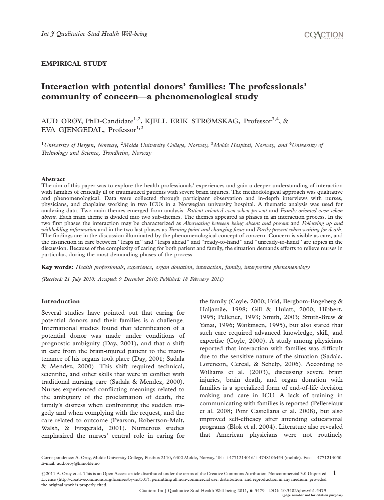#### EMPIRICAL STUDY

# Interaction with potential donors' families: The professionals' community of concern-a phenomenological study

AUD ORØY, PhD-Candidate<sup>1,2</sup>, KIELL ERIK STRØMSKAG, Professor<sup>3,4</sup>, & EVA GIENGEDAL, Professor<sup>1,2</sup>

<sup>1</sup> University of Bergen, Norway, <sup>2</sup>Molde University College, Norway, <sup>3</sup>Molde Hospital, Norway, and <sup>4</sup>University of Technology and Science, Trondheim, Norway

#### Abstract

The aim of this paper was to explore the health professionals' experiences and gain a deeper understanding of interaction with families of critically ill or traumatized patients with severe brain injuries. The methodological approach was qualitative and phenomenological. Data were collected through participant observation and in-depth interviews with nurses, physicians, and chaplains working in two ICUs in a Norwegian university hospital. A thematic analysis was used for analyzing data. Two main themes emerged from analysis: Patient oriented even when present and Family oriented even when absent. Each main theme is divided into two sub-themes. The themes appeared as phases in an interaction process. In the two first phases the interaction may be characterized as Alternating between being absent and present and Following up and withholding information and in the two last phases as Turning point and changing focus and Partly present when waiting for death. The findings are in the discussion illuminated by the phenomenological concept of concern. Concern is visible as care, and the distinction in care between ''leaps in'' and ''leaps ahead'' and ''ready-to-hand'' and ''unready-to-hand'' are topics in the discussion. Because of the complexity of caring for both patient and family, the situation demands efforts to relieve nurses in particular, during the most demanding phases of the process.

Key words: Health professionals, experience, organ donation, interaction, family, interpretive phenomenology

(Received: 21 July 2010; Accepted: 9 December 2010; Published: 18 February 2011)

#### Introduction

Several studies have pointed out that caring for potential donors and their families is a challenge. International studies found that identification of a potential donor was made under conditions of prognostic ambiguity (Day, 2001), and that a shift in care from the brain-injured patient to the maintenance of his organs took place (Day, 2001; Sadala & Mendez, 2000). This shift required technical, scientific, and other skills that were in conflict with traditional nursing care (Sadala & Mendez, 2000). Nurses experienced conflicting meanings related to the ambiguity of the proclamation of death, the family's distress when confronting the sudden tragedy and when complying with the request, and the care related to outcome (Pearson, Robertson-Malt, Walsh, & Fitzgerald, 2001). Numerous studies emphasized the nurses' central role in caring for the family (Coyle, 2000; Frid, Bergbom-Engeberg & Haljamäe, 1998; Gill & Hulatt, 2000; Hibbert, 1995; Pelletier, 1993; Smith, 2003; Smith-Brew & Yanai, 1996; Watkinsen, 1995), but also stated that such care required advanced knowledge, skill, and expertise (Coyle, 2000). A study among physicians reported that interaction with families was difficult due to the sensitive nature of the situation (Sadala, Lorencon, Cercal, & Schelp, 2006). According to Williams et al. (2003), discussing severe brain injuries, brain death, and organ donation with families is a specialized form of end-of-life decision making and care in ICU. A lack of training in communicating with families is reported (Pellereiaux et al. 2008; Pont Castellana et al. 2008), but also improved self-efficacy after attending educational programs (Blok et al. 2004). Literature also revealed that American physicians were not routinely

Correspondence: A. Orøy, Molde University College, Postbox 2110, 6402 Molde, Norway. Tel: +4771214016/+4748106454 (mobile). Fax: +4771214050. E-mail: aud.oroy@himolde.no

 $\odot$ 2011 A. Orøy et al. This is an Open Access article distributed under the terms of the Creative Commons Attribution-Noncommercial 3.0 Unported  $1$ License (http://creativecommons.org/licenses/by-nc/3.0/), permitting all non-commercial use, distribution, and reproduction in any medium, provided the original work is properly cited.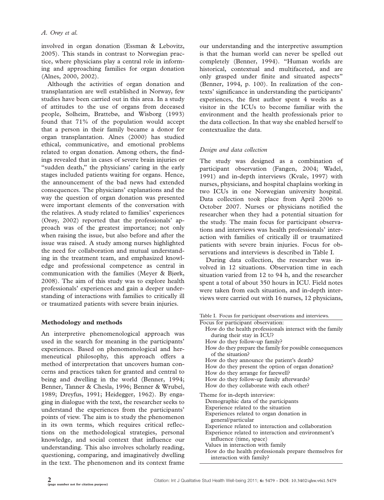involved in organ donation (Essman & Lebovitz, 2005). This stands in contrast to Norwegian practice, where physicians play a central role in informing and approaching families for organ donation (Alnes, 2000, 2002).

Although the activities of organ donation and transplantation are well established in Norway, few studies have been carried out in this area. In a study of attitudes to the use of organs from deceased people, Solheim, Brattebø, and Wisborg (1993) found that 71% of the population would accept that a person in their family became a donor for organ transplantation. Alnes (2000) has studied ethical, communicative, and emotional problems related to organ donation. Among others, the findings revealed that in cases of severe brain injuries or "sudden death," the physicians' caring in the early stages included patients waiting for organs. Hence, the announcement of the bad news had extended consequences. The physicians' explanations and the way the question of organ donation was presented were important elements of the conversation with the relatives. A study related to families' experiences (Orøy, 2002) reported that the professionals' approach was of the greatest importance; not only when raising the issue, but also before and after the issue was raised. A study among nurses highlighted the need for collaboration and mutual understanding in the treatment team, and emphasized knowledge and professional competence as central in communication with the families (Meyer & Bjørk, 2008). The aim of this study was to explore health professionals' experiences and gain a deeper understanding of interactions with families to critically ill or traumatized patients with severe brain injuries.

### Methodology and methods

An interpretive phenomenological approach was used in the search for meaning in the participants' experiences. Based on phenomenological and hermeneutical philosophy, this approach offers a method of interpretation that uncovers human concerns and practices taken for granted and central to being and dwelling in the world (Benner, 1994; Benner, Tanner & Chesla, 1996; Benner & Wrubel, 1989; Dreyfus, 1991; Heidegger, 1962). By engaging in dialogue with the text, the researcher seeks to understand the experiences from the participants' points of view. The aim is to study the phenomenon in its own terms, which requires critical reflections on the methodological strategies, personal knowledge, and social context that influence our understanding. This also involves scholarly reading, questioning, comparing, and imaginatively dwelling in the text. The phenomenon and its context frame our understanding and the interpretive assumption is that the human world can never be spelled out completely (Benner, 1994). ''Human worlds are historical, contextual and multifaceted, and are only grasped under finite and situated aspects'' (Benner, 1994, p. 100). In realization of the contexts' significance in understanding the participants' experiences, the first author spent 4 weeks as a visitor in the ICUs to become familiar with the environment and the health professionals prior to the data collection. In that way she enabled herself to contextualize the data.

# Design and data collection

The study was designed as a combination of participant observation (Fangen, 2004; Wadel, 1991) and in-depth interviews (Kvale, 1997) with nurses, physicians, and hospital chaplains working in two ICUs in one Norwegian university hospital. Data collection took place from April 2006 to October 2007. Nurses or physicians notified the researcher when they had a potential situation for the study. The main focus for participant observations and interviews was health professionals' interaction with families of critically ill or traumatized patients with severe brain injuries. Focus for observations and interviews is described in Table I.

During data collection, the researcher was involved in 12 situations. Observation time in each situation varied from 12 to 94 h, and the researcher spent a total of about 350 hours in ICU. Field notes were taken from each situation, and in-depth interviews were carried out with 16 nurses, 12 physicians,

| Table I. Focus for participant observations and interviews.                        |  |  |  |
|------------------------------------------------------------------------------------|--|--|--|
| Focus for participant observation:                                                 |  |  |  |
| How do the health professionals interact with the family                           |  |  |  |
| during their stay in ICU?                                                          |  |  |  |
| How do they follow-up family?                                                      |  |  |  |
| How do they prepare the family for possible consequences                           |  |  |  |
| of the situation?                                                                  |  |  |  |
| How do they announce the patient's death?                                          |  |  |  |
| How do they present the option of organ donation?                                  |  |  |  |
| How do they arrange for farewell?                                                  |  |  |  |
| How do they follow-up family afterwards?                                           |  |  |  |
| How do they collaborate with each other?                                           |  |  |  |
| Theme for in-depth interview:                                                      |  |  |  |
| Demographic data of the participants                                               |  |  |  |
| Experience related to the situation                                                |  |  |  |
| Experiences related to organ donation in                                           |  |  |  |
| general/particular                                                                 |  |  |  |
| Experience related to interaction and collaboration                                |  |  |  |
| Experience related to interaction and environment's                                |  |  |  |
| influence (time, space)                                                            |  |  |  |
| Values in interaction with family                                                  |  |  |  |
| How do the health professionals prepare themselves for<br>interaction with family? |  |  |  |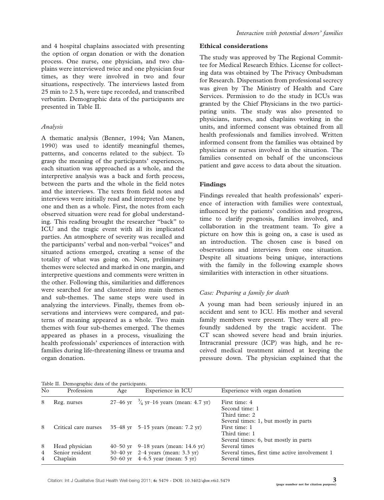and 4 hospital chaplains associated with presenting the option of organ donation or with the donation process. One nurse, one physician, and two chaplains were interviewed twice and one physician four times, as they were involved in two and four situations, respectively. The interviews lasted from 25 min to 2.5 h, were tape recorded, and transcribed verbatim. Demographic data of the participants are presented in Table II.

#### Analysis

A thematic analysis (Benner, 1994; Van Manen, 1990) was used to identify meaningful themes, patterns, and concerns related to the subject. To grasp the meaning of the participants' experiences, each situation was approached as a whole, and the interpretive analysis was a back and forth process, between the parts and the whole in the field notes and the interviews. The texts from field notes and interviews were initially read and interpreted one by one and then as a whole. First, the notes from each observed situation were read for global understanding. This reading brought the researcher ''back'' to ICU and the tragic event with all its implicated parties. An atmosphere of severity was recalled and the participants' verbal and non-verbal ''voices'' and situated actions emerged, creating a sense of the totality of what was going on. Next, preliminary themes were selected and marked in one margin, and interpretive questions and comments were written in the other. Following this, similarities and differences were searched for and clustered into main themes and sub-themes. The same steps were used in analyzing the interviews. Finally, themes from observations and interviews were compared, and patterns of meaning appeared as a whole. Two main themes with four sub-themes emerged. The themes appeared as phases in a process, visualizing the health professionals' experiences of interaction with families during life-threatening illness or trauma and organ donation.

## Ethical considerations

The study was approved by The Regional Committee for Medical Research Ethics. License for collecting data was obtained by The Privacy Ombudsman for Research. Dispensation from professional secrecy was given by The Ministry of Health and Care Services. Permission to do the study in ICUs was granted by the Chief Physicians in the two participating units. The study was also presented to physicians, nurses, and chaplains working in the units, and informed consent was obtained from all health professionals and families involved. Written informed consent from the families was obtained by physicians or nurses involved in the situation. The families consented on behalf of the unconscious patient and gave access to data about the situation.

#### Findings

Findings revealed that health professionals' experience of interaction with families were contextual, influenced by the patients' condition and progress, time to clarify prognosis, families involved, and collaboration in the treatment team. To give a picture on how this is going on, a case is used as an introduction. The chosen case is based on observations and interviews from one situation. Despite all situations being unique, interactions with the family in the following example shows similarities with interaction in other situations.

#### Case: Preparing a family for death

A young man had been seriously injured in an accident and sent to ICU. His mother and several family members were present. They were all profoundly saddened by the tragic accident. The CT scan showed severe head and brain injuries. Intracranial pressure (ICP) was high, and he received medical treatment aimed at keeping the pressure down. The physician explained that the

Table II. Demographic data of the participants.

| $\overline{N}$ | Profession           | Age | Experience in ICU                                 | Experience with organ donation                 |
|----------------|----------------------|-----|---------------------------------------------------|------------------------------------------------|
| 8              | Reg. nurses          |     | 27–46 yr $\frac{3}{4}$ yr–16 years (mean: 4.7 yr) | First time: 4                                  |
|                |                      |     |                                                   | Second time: 1                                 |
|                |                      |     |                                                   | Third time: 2                                  |
|                |                      |     |                                                   | Several times: 1, but mostly in parts          |
| 8              | Critical care nurses |     | $35-48$ yr $5-15$ years (mean: 7.2 yr)            | First time: 1                                  |
|                |                      |     |                                                   | Third time: 1                                  |
|                |                      |     |                                                   | Several times: 6, but mostly in parts          |
| 8              | Head physician       |     | 40–50 yr 9–18 years (mean: 14.6 yr)               | Several times                                  |
| 4              | Senior resident      |     | 30–40 yr 2–4 years (mean: 3.3 yr)                 | Several times, first time active involvement 1 |
| 4              | Chaplain             |     | 50–60 yr $4$ –6.5 year (mean: 5 yr)               | Several times                                  |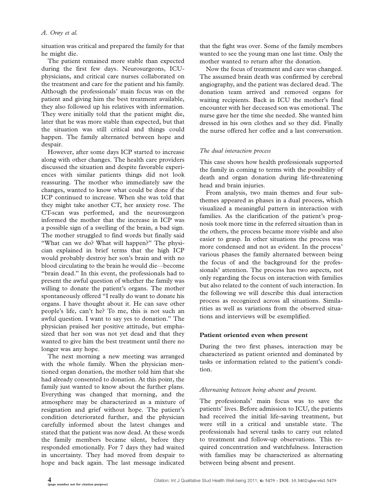situation was critical and prepared the family for that he might die.

The patient remained more stable than expected during the first few days. Neurosurgeons, ICUphysicians, and critical care nurses collaborated on the treatment and care for the patient and his family. Although the professionals' main focus was on the patient and giving him the best treatment available, they also followed up his relatives with information. They were initially told that the patient might die, later that he was more stable than expected, but that the situation was still critical and things could happen. The family alternated between hope and despair.

However, after some days ICP started to increase along with other changes. The health care providers discussed the situation and despite favorable experiences with similar patients things did not look reassuring. The mother who immediately saw the changes, wanted to know what could be done if the ICP continued to increase. When she was told that they might take another CT, her anxiety rose. The CT-scan was performed, and the neurosurgeon informed the mother that the increase in ICP was a possible sign of a swelling of the brain, a bad sign. The mother struggled to find words but finally said ''What can we do? What will happen?'' The physician explained in brief terms that the high ICP would probably destroy her son's brain and with no blood circulating to the brain he would die—become ''brain dead.'' In this event, the professionals had to present the awful question of whether the family was willing to donate the patient's organs. The mother spontaneously offered ''I really do want to donate his organs. I have thought about it. He can save other people's life, can't he? To me, this is not such an awful question. I want to say yes to donation.'' The physician praised her positive attitude, but emphasized that her son was not yet dead and that they wanted to give him the best treatment until there no longer was any hope.

The next morning a new meeting was arranged with the whole family. When the physician mentioned organ donation, the mother told him that she had already consented to donation. At this point, the family just wanted to know about the further plans. Everything was changed that morning, and the atmosphere may be characterized as a mixture of resignation and grief without hope. The patient's condition deteriorated further, and the physician carefully informed about the latest changes and stated that the patient was now dead. At these words the family members became silent, before they responded emotionally. For 7 days they had waited in uncertainty. They had moved from despair to hope and back again. The last message indicated that the fight was over. Some of the family members wanted to see the young man one last time. Only the mother wanted to return after the donation.

Now the focus of treatment and care was changed. The assumed brain death was confirmed by cerebral angiography, and the patient was declared dead. The donation team arrived and removed organs for waiting recipients. Back in ICU the mother's final encounter with her deceased son was emotional. The nurse gave her the time she needed. She wanted him dressed in his own clothes and so they did. Finally the nurse offered her coffee and a last conversation.

#### The dual interaction process

This case shows how health professionals supported the family in coming to terms with the possibility of death and organ donation during life-threatening head and brain injuries.

From analysis, two main themes and four subthemes appeared as phases in a dual process, which visualized a meaningful pattern in interaction with families. As the clarification of the patient's prognosis took more time in the referred situation than in the others, the process became more visible and also easier to grasp. In other situations the process was more condensed and not as evident. In the process' various phases the family alternated between being the focus of and the background for the professionals' attention. The process has two aspects, not only regarding the focus on interaction with families but also related to the content of such interaction. In the following we will describe this dual interaction process as recognized across all situations. Similarities as well as variations from the observed situations and interviews will be exemplified.

#### Patient oriented even when present

During the two first phases, interaction may be characterized as patient oriented and dominated by tasks or information related to the patient's condition.

#### Alternating between being absent and present.

The professionals' main focus was to save the patients' lives. Before admission to ICU, the patients had received the initial life-saving treatment, but were still in a critical and unstable state. The professionals had several tasks to carry out related to treatment and follow-up observations. This required concentration and watchfulness. Interaction with families may be characterized as alternating between being absent and present.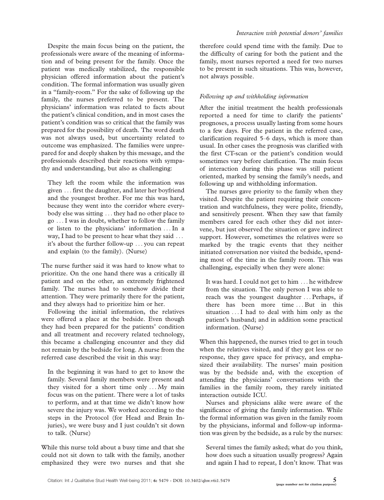Despite the main focus being on the patient, the professionals were aware of the meaning of information and of being present for the family. Once the patient was medically stabilized, the responsible physician offered information about the patient's condition. The formal information was usually given in a ''family-room.'' For the sake of following up the family, the nurses preferred to be present. The physicians' information was related to facts about the patient's clinical condition, and in most cases the patient's condition was so critical that the family was prepared for the possibility of death. The word death was not always used, but uncertainty related to outcome was emphasized. The families were unprepared for and deeply shaken by this message, and the professionals described their reactions with sympathy and understanding, but also as challenging:

They left the room while the information was given ... first the daughter, and later her boyfriend and the youngest brother. For me this was hard, because they went into the corridor where everybody else was sitting ... they had no other place to go ... I was in doubt, whether to follow the family or listen to the physicians' information ... In a way, I had to be present to hear what they said ... it's about the further follow-up ... you can repeat and explain (to the family). (Nurse)

The nurse further said it was hard to know what to prioritize. On the one hand there was a critically ill patient and on the other, an extremely frightened family. The nurses had to somehow divide their attention. They were primarily there for the patient, and they always had to prioritize him or her.

Following the initial information, the relatives were offered a place at the bedside. Even though they had been prepared for the patients' condition and all treatment and recovery related technology, this became a challenging encounter and they did not remain by the bedside for long. A nurse from the referred case described the visit in this way:

In the beginning it was hard to get to know the family. Several family members were present and they visited for a short time only ... My main focus was on the patient. There were a lot of tasks to perform, and at that time we didn't know how severe the injury was. We worked according to the steps in the Protocol (for Head and Brain Injuries), we were busy and I just couldn't sit down to talk. (Nurse)

While this nurse told about a busy time and that she could not sit down to talk with the family, another emphasized they were two nurses and that she therefore could spend time with the family. Due to the difficulty of caring for both the patient and the family, most nurses reported a need for two nurses to be present in such situations. This was, however, not always possible.

#### Following up and withholding information

After the initial treatment the health professionals reported a need for time to clarify the patients' prognoses, a process usually lasting from some hours to a few days. For the patient in the referred case, clarification required  $5-6$  days, which is more than usual. In other cases the prognosis was clarified with the first CT-scan or the patient's condition would sometimes vary before clarification. The main focus of interaction during this phase was still patient oriented, marked by sensing the family's needs, and following up and withholding information.

The nurses gave priority to the family when they visited. Despite the patient requiring their concentration and watchfulness, they were polite, friendly, and sensitively present. When they saw that family members cared for each other they did not intervene, but just observed the situation or gave indirect support. However, sometimes the relatives were so marked by the tragic events that they neither initiated conversation nor visited the bedside, spending most of the time in the family room. This was challenging, especially when they were alone:

It was hard. I could not get to him ... he withdrew from the situation. The only person I was able to reach was the youngest daughter ... Perhaps, if there has been more time ... But in this situation ... I had to deal with him only as the patient's husband; and in addition some practical information. (Nurse)

When this happened, the nurses tried to get in touch when the relatives visited, and if they got less or no response, they gave space for privacy, and emphasized their availability. The nurses' main position was by the bedside and, with the exception of attending the physicians' conversations with the families in the family room, they rarely initiated interaction outside ICU.

Nurses and physicians alike were aware of the significance of giving the family information. While the formal information was given in the family room by the physicians, informal and follow-up information was given by the bedside, as a rule by the nurses:

Several times the family asked; what do you think, how does such a situation usually progress? Again and again I had to repeat, I don't know. That was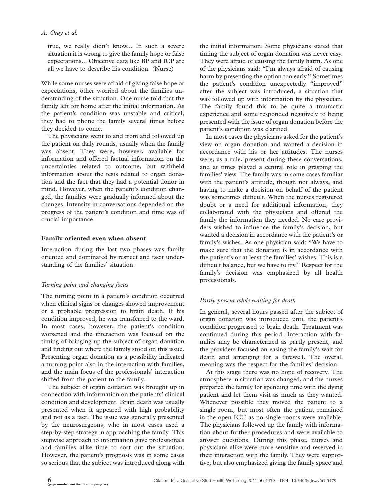true, we really didn't know... In such a severe situation it is wrong to give the family hope or false expectations... Objective data like BP and ICP are all we have to describe his condition. (Nurse)

While some nurses were afraid of giving false hope or expectations, other worried about the families understanding of the situation. One nurse told that the family left for home after the initial information. As the patient's condition was unstable and critical, they had to phone the family several times before they decided to come.

The physicians went to and from and followed up the patient on daily rounds, usually when the family was absent. They were, however, available for information and offered factual information on the uncertainties related to outcome, but withheld information about the tests related to organ donation and the fact that they had a potential donor in mind. However, when the patient's condition changed, the families were gradually informed about the changes. Intensity in conversations depended on the progress of the patient's condition and time was of crucial importance.

#### Family oriented even when absent

Interaction during the last two phases was family oriented and dominated by respect and tacit understanding of the families' situation.

### Turning point and changing focus

The turning point in a patient's condition occurred when clinical signs or changes showed improvement or a probable progression to brain death. If his condition improved, he was transferred to the ward. In most cases, however, the patient's condition worsened and the interaction was focused on the timing of bringing up the subject of organ donation and finding out where the family stood on this issue. Presenting organ donation as a possibility indicated a turning point also in the interaction with families, and the main focus of the professionals' interaction shifted from the patient to the family.

The subject of organ donation was brought up in connection with information on the patients' clinical condition and development. Brain death was usually presented when it appeared with high probability and not as a fact. The issue was generally presented by the neurosurgeons, who in most cases used a step-by-step strategy in approaching the family. This stepwise approach to information gave professionals and families alike time to sort out the situation. However, the patient's prognosis was in some cases so serious that the subject was introduced along with

the initial information. Some physicians stated that timing the subject of organ donation was never easy. They were afraid of causing the family harm. As one of the physicians said: ''I'm always afraid of causing harm by presenting the option too early.'' Sometimes the patient's condition unexpectedly ''improved'' after the subject was introduced, a situation that was followed up with information by the physician. The family found this to be quite a traumatic experience and some responded negatively to being presented with the issue of organ donation before the patient's condition was clarified.

In most cases the physicians asked for the patient's view on organ donation and wanted a decision in accordance with his or her attitudes. The nurses were, as a rule, present during these conversations, and at times played a central role in grasping the families' view. The family was in some cases familiar with the patient's attitude, though not always, and having to make a decision on behalf of the patient was sometimes difficult. When the nurses registered doubt or a need for additional information, they collaborated with the physicians and offered the family the information they needed. No care providers wished to influence the family's decision, but wanted a decision in accordance with the patient's or family's wishes. As one physician said: ''We have to make sure that the donation is in accordance with the patient's or at least the families' wishes. This is a difficult balance, but we have to try.'' Respect for the family's decision was emphasized by all health professionals.

### Partly present while waiting for death

In general, several hours passed after the subject of organ donation was introduced until the patient's condition progressed to brain death. Treatment was continued during this period. Interaction with families may be characterized as partly present, and the providers focused on easing the family's wait for death and arranging for a farewell. The overall meaning was the respect for the families' decision.

At this stage there was no hope of recovery. The atmosphere in situation was changed, and the nurses prepared the family for spending time with the dying patient and let them visit as much as they wanted. Whenever possible they moved the patient to a single room, but most often the patient remained in the open ICU as no single rooms were available. The physicians followed up the family with information about further procedures and were available to answer questions. During this phase, nurses and physicians alike were more sensitive and reserved in their interaction with the family. They were supportive, but also emphasized giving the family space and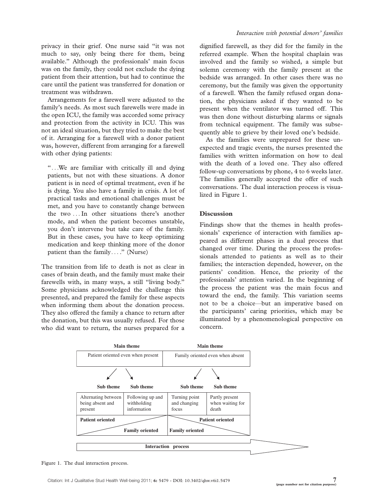privacy in their grief. One nurse said ''it was not much to say, only being there for them, being available.'' Although the professionals' main focus was on the family, they could not exclude the dying patient from their attention, but had to continue the care until the patient was transferred for donation or treatment was withdrawn.

Arrangements for a farewell were adjusted to the family's needs. As most such farewells were made in the open ICU, the family was accorded some privacy and protection from the activity in ICU. This was not an ideal situation, but they tried to make the best of it. Arranging for a farewell with a donor patient was, however, different from arranging for a farewell with other dying patients:

''...We are familiar with critically ill and dying patients, but not with these situations. A donor patient is in need of optimal treatment, even if he is dying. You also have a family in crisis. A lot of practical tasks and emotional challenges must be met, and you have to constantly change between the two ... In other situations there's another mode, and when the patient becomes unstable, you don't intervene but take care of the family. But in these cases, you have to keep optimizing medication and keep thinking more of the donor patient than the family...." (Nurse)

The transition from life to death is not as clear in cases of brain death, and the family must make their farewells with, in many ways, a still ''living body.'' Some physicians acknowledged the challenge this presented, and prepared the family for these aspects when informing them about the donation process. They also offered the family a chance to return after the donation, but this was usually refused. For those who did want to return, the nurses prepared for a dignified farewell, as they did for the family in the referred example. When the hospital chaplain was involved and the family so wished, a simple but solemn ceremony with the family present at the bedside was arranged. In other cases there was no ceremony, but the family was given the opportunity of a farewell. When the family refused organ donation, the physicians asked if they wanted to be present when the ventilator was turned off. This was then done without disturbing alarms or signals from technical equipment. The family was subsequently able to grieve by their loved one's bedside.

As the families were unprepared for these unexpected and tragic events, the nurses presented the families with written information on how to deal with the death of a loved one. They also offered follow-up conversations by phone, 4 to 6 weeks later. The families generally accepted the offer of such conversations. The dual interaction process is visualized in Figure 1.

#### Discussion

Findings show that the themes in health professionals' experience of interaction with families appeared as different phases in a dual process that changed over time. During the process the professionals attended to patients as well as to their families; the interaction depended, however, on the patients' condition. Hence, the priority of the professionals' attention varied. In the beginning of the process the patient was the main focus and toward the end, the family. This variation seems not to be a choice—but an imperative based on the participants' caring priorities, which may be illuminated by a phenomenological perspective on concern.



Figure 1. The dual interaction process.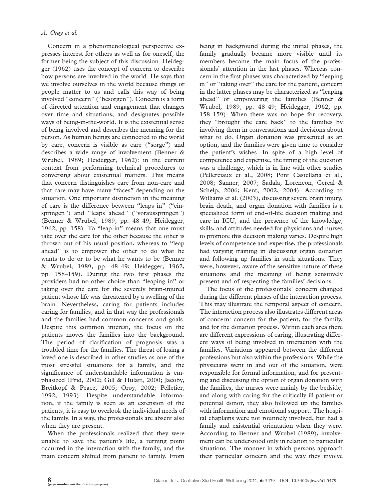Concern in a phenomenological perspective expresses interest for others as well as for oneself, the former being the subject of this discussion. Heidegger (1962) uses the concept of concern to describe how persons are involved in the world. He says that we involve ourselves in the world because things or people matter to us and calls this way of being involved ''concern'' (''besorgen''). Concern is a form of directed attention and engagement that changes over time and situations, and designates possible ways of being-in-the-world. It is the existential sense of being involved and describes the meaning for the person. As human beings are connected to the world by care, concern is visible as care (''sorge'') and describes a wide range of involvement (Benner & Wrubel, 1989; Heidegger, 1962): in the current context from performing technical procedures to conversing about existential matters. This means that concern distinguishes care from non-care and that care may have many "faces" depending on the situation. One important distinction in the meaning of care is the difference between ''leaps in'' (''einspringen") and "leaps ahead" ("vorausspringen") (Benner & Wrubel, 1989, pp. 48-49; Heidegger, 1962, pp. 158). To "leap in" means that one must take over the care for the other because the other is thrown out of his usual position, whereas to ''leap ahead'' is to empower the other to do what he wants to do or to be what he wants to be (Benner & Wrubel, 1989, pp. 4849; Heidegger, 1962, pp. 158-159). During the two first phases the providers had no other choice than ''leaping in'' or taking over the care for the severely brain-injured patient whose life was threatened by a swelling of the brain. Nevertheless, caring for patients includes caring for families, and in that way the professionals and the families had common concerns and goals. Despite this common interest, the focus on the patients moves the families into the background. The period of clarification of prognosis was a troubled time for the families. The threat of losing a loved one is described in other studies as one of the most stressful situations for a family, and the significance of understandable information is emphasized (Frid, 2002; Gill & Hulatt, 2000; Jacoby, Breitkopf & Peace, 2005; Orøy, 2002; Pelletier, 1992, 1993). Despite understandable information, if the family is seen as an extension of the patients, it is easy to overlook the individual needs of the family. In a way, the professionals are absent also when they are present.

When the professionals realized that they were unable to save the patient's life, a turning point occurred in the interaction with the family, and the main concern shifted from patient to family. From

being in background during the initial phases, the family gradually became more visible until its members became the main focus of the professionals' attention in the last phases. Whereas concern in the first phases was characterized by ''leaping in'' or ''taking over'' the care for the patient, concern in the latter phases may be characterized as ''leaping ahead'' or empowering the families (Benner & Wrubel, 1989, pp. 48-49; Heidegger, 1962, pp.  $158-159$ ). When there was no hope for recovery, they ''brought the care back'' to the families by involving them in conversations and decisions about what to do. Organ donation was presented as an option, and the families were given time to consider the patient's wishes. In spite of a high level of competence and expertise, the timing of the question was a challenge, which is in line with other studies (Pellereiaux et al., 2008; Pont Castellana et al., 2008; Sanner, 2007; Sadala, Lorencon, Cercal & Schelp, 2006; Kent, 2002, 2004). According to Williams et al. (2003), discussing severe brain injury, brain death, and organ donation with families is a specialized form of end-of-life decision making and care in ICU, and the presence of the knowledge, skills, and attitudes needed for physicians and nurses to promote this decision making varies. Despite high levels of competence and expertise, the professionals had varying training in discussing organ donation and following up families in such situations. They were, however, aware of the sensitive nature of these situations and the meaning of being sensitively present and of respecting the families' decisions.

The focus of the professionals' concern changed during the different phases of the interaction process. This may illustrate the temporal aspect of concern. The interaction process also illustrates different areas of concern: concern for the patient, for the family, and for the donation process. Within each area there are different expressions of caring, illustrating different ways of being involved in interaction with the families. Variations appeared between the different professions but also within the professions. While the physicians went in and out of the situation, were responsible for formal information, and for presenting and discussing the option of organ donation with the families, the nurses were mainly by the bedside, and along with caring for the critically ill patient or potential donor, they also followed up the families with information and emotional support. The hospital chaplains were not routinely involved, but had a family and existential orientation when they were. According to Benner and Wrubel (1989), involvement can be understood only in relation to particular situations. The manner in which persons approach their particular concern and the way they involve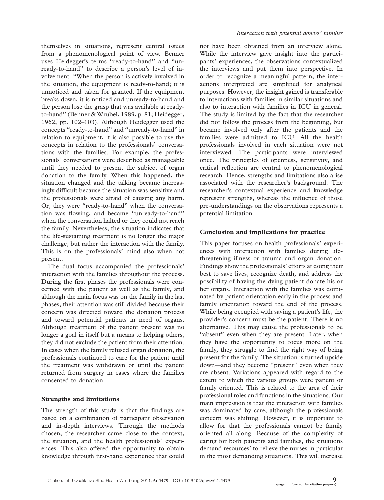themselves in situations, represent central issues from a phenomenological point of view. Benner uses Heidegger's terms "ready-to-hand" and "unready-to-hand'' to describe a person's level of involvement. ''When the person is actively involved in the situation, the equipment is ready-to-hand; it is unnoticed and taken for granted. If the equipment breaks down, it is noticed and unready-to-hand and the person lose the grasp that was available at readyto-hand'' (Benner & Wrubel, 1989, p. 81; Heidegger, 1962, pp.  $102-103$ ). Although Heidegger used the concepts ''ready-to-hand'' and ''unready-to-hand'' in relation to equipment, it is also possible to use the concepts in relation to the professionals' conversations with the families. For example, the professionals' conversations were described as manageable until they needed to present the subject of organ donation to the family. When this happened, the situation changed and the talking became increasingly difficult because the situation was sensitive and the professionals were afraid of causing any harm. Or, they were "ready-to-hand" when the conversation was flowing, and became ''unready-to-hand'' when the conversation halted or they could not reach the family. Nevertheless, the situation indicates that the life-sustaining treatment is no longer the major challenge, but rather the interaction with the family. This is on the professionals' mind also when not present.

The dual focus accompanied the professionals' interaction with the families throughout the process. During the first phases the professionals were concerned with the patient as well as the family, and although the main focus was on the family in the last phases, their attention was still divided because their concern was directed toward the donation process and toward potential patients in need of organs. Although treatment of the patient present was no longer a goal in itself but a means to helping others, they did not exclude the patient from their attention. In cases when the family refused organ donation, the professionals continued to care for the patient until the treatment was withdrawn or until the patient returned from surgery in cases where the families consented to donation.

#### Strengths and limitations

The strength of this study is that the findings are based on a combination of participant observation and in-depth interviews. Through the methods chosen, the researcher came close to the context, the situation, and the health professionals' experiences. This also offered the opportunity to obtain knowledge through first-hand experience that could not have been obtained from an interview alone. While the interview gave insight into the participants' experiences, the observations contextualized the interviews and put them into perspective. In order to recognize a meaningful pattern, the interactions interpreted are simplified for analytical purposes. However, the insight gained is transferable to interactions with families in similar situations and also to interaction with families in ICU in general. The study is limited by the fact that the researcher did not follow the process from the beginning, but became involved only after the patients and the families were admitted to ICU. All the health professionals involved in each situation were not interviewed. The participants were interviewed once. The principles of openness, sensitivity, and critical reflection are central to phenomenological research. Hence, strengths and limitations also arise associated with the researcher's background. The researcher's contextual experience and knowledge represent strengths, whereas the influence of those pre-understandings on the observations represents a potential limitation.

#### Conclusion and implications for practice

This paper focuses on health professionals' experiences with interaction with families during lifethreatening illness or trauma and organ donation. Findings show the professionals' efforts at doing their best to save lives, recognize death, and address the possibility of having the dying patient donate his or her organs. Interaction with the families was dominated by patient orientation early in the process and family orientation toward the end of the process. While being occupied with saving a patient's life, the provider's concern must be the patient. There is no alternative. This may cause the professionals to be "absent" even when they are present. Later, when they have the opportunity to focus more on the family, they struggle to find the right way of being present for the family. The situation is turned upside down—and they become "present" even when they are absent. Variations appeared with regard to the extent to which the various groups were patient or family oriented. This is related to the area of their professional roles and functions in the situations. Our main impression is that the interaction with families was dominated by care, although the professionals concern was shifting. However, it is important to allow for that the professionals cannot be family oriented all along. Because of the complexity of caring for both patients and families, the situations demand resources' to relieve the nurses in particular in the most demanding situations. This will increase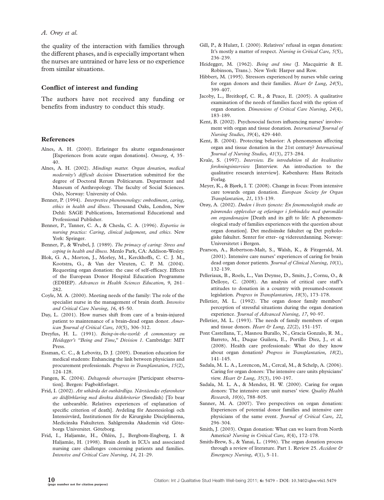the quality of the interaction with families through the different phases, and is especially important when the nurses are untrained or have less or no experience from similar situations.

#### Conflict of interest and funding

The authors have not received any funding or benefits from industry to conduct this study.

#### References

- Alnes, A. H. (2000). Erfaringer fra akutte organdonasjoner [Experiences from acute organ donations]. Omsorg, 4, 35 40.
- Alnes, A. H. (2002). Mindings matter. Organ donation, medical modernity's difficult decision Dissertation submitted for the degree of Doctoral Rerum Politicarum. Department and Museum of Anthropology. The faculty of Social Sciences. Oslo, Norway: University of Oslo.
- Benner, P. (1994). Interpretive phenomenology: embodiment, caring, ethics in health and illness. Thousand Oaks, London, New Dehli: SAGE Publications, International Educational and Professional Publisher.
- Benner, P., Tanner, C. A., & Chesla, C. A. (1996). Expertise in nursing practice: Caring, clinical judgement, and ethics. New York: Springer.
- Benner, P., & Wrubel, J. (1989). The primacy of caring: Stress and coping in health and illness. Menlo Park, CA: Addison-Wesley.
- Blok, G. A., Morton, J., Morley, M., Kerckhoffs, C. C. J. M., Kootstra, G., & Van der Vleuten, C. P. M. (2004). Requesting organ donation: the case of self-efficacy. Effects of the European Donor Hospital Education Programme (EDHEP). Advances in Health Sciences Education, 9, 261 282.
- Coyle, M. A. (2000). Meeting needs of the family: The role of the specialist nurse in the management of brain death. Intensive and Critical Care Nursing, 16, 45-50.
- Day, L. (2001). How nurses shift from care of a brain-injured patient to maintenance of a brain-dead organ donor. American Journal of Critical Care, 10(5), 306-312.
- Dreyfus, H. L. (1991). Being-in-the-world: A commentary on Heidegger's ''Being and Time,'' Division 1. Cambridge: MIT Press.
- Essman, C. C., & Lebovitz, D. J. (2005). Donation education for medical students: Enhancing the link between physicians and procurement professionals. Progress in Transplantation, 15(2), 124128.
- Fangen, K. (2004). Deltagende observasjon [Participant observation]. Bergen: Fagbokforlaget.
- Frid, I. (2002). Att uthärda det outhärdliga. Närståendes erfarenheter av dödförklaring med direkta dödskriterier (Swedish) [To bear the unbearable. Relatives experiences of explanation of specific criterion of death]. Avdeling för Anestesiologi och Intensivvärd, Institutionen för de Kirurgiske Disciplinerna, Medicinska Fakulteten. Sahlgrenska Akademin vid Göteborgs Universitet. Göteborg.
- Frid, I., Haljamäe, H., Öhlèn, J., Bergbom-Engberg, I. & Haljamäe, H. (1998). Brain death in ICUs and associated nursing care challenges concerning patients and families. Intensive and Critical Care Nursing, 14, 21-29.
- Gill, P., & Hulatt, I. (2000). Relatives' refusal in organ donation: It's mostly a matter of respect. Nursing in Critical Care, 5(5), 236-239.
- Heidegger, M. (1962). Being and time (J. Macquirrie & E. Robinson, Trans.). New York: Harper and Row.
- Hibbert, M. (1995). Stressors experienced by nurses while caring for organ donors and their families. Heart & Lung,  $24(5)$ , 399407.
- Jacoby, L., Breitkopf, C. R., & Peace, E. (2005). A qualitative examination of the needs of families faced with the option of organ donation. Dimensions of Critical Care Nursing, 24(4), 183-189
- Kent, B. (2002). Psychosocial factors influencing nurses' involvement with organ and tissue donation. International Journal of Nursing Studies, 39(4), 429-440.
- Kent, B. (2004). Protecting behavior: A phenomenon affecting organ and tissue donation in the 21st century? International Yournal of Nursing Studies, 41(3), 273-284.
- Kvale, S. (1997). Interview. En introduktion til det kvalitative forskningsinterview [Interview. An introduction to the qualitative research interview]. København: Hans Reitzels Forlag.
- Meyer, K., & Bjørk, I. T. (2008). Change in focus: From intensive care towards organ donation. European Society for Organ Transplantation, 21, 133-139.
- Orøy, A. (2002). Døden i livets tjeneste: En fenomenologisk studie av pårørendes opplevelser og erfaringer i forbindelse med spørsmålet om organdonasjon [Death and its gift to life: A phenomenological study of families experiences with the question about organ donation]. Det medisinske fakultet og Det psykologiske fakultet. Senter for etter- og videreutdanning. Norway: Universitetet i Bergen.
- Pearson, A., Robertson-Malt, S., Walsh, K., & Fitzgerald, M. (2001). Intensive care nurses' experiences of caring for brain dead organ donor patients. Journal of Clinical Nursing, 10(1), 132-139.
- Pelleriaux, B., Roels, L., Van Deynse, D., Smits, J., Cornu, O., & Delloye, C. (2008). An analysis of critical care staff's attitudes to donation in a country with presumed-consent legislation. Progress in Transplantation, 18(3), 173-178.
- Pelletier, M. L. (1992). The organ donor family members' perception of stressful situations during the organ donation experience. Journal of Advanced Nursing, 17, 90-97.
- Pelletier, M. L. (1993). The needs of family members of organ and tissue donors. Heart & Lung,  $22(2)$ ,  $151-157$ .
- Pont Castellana, T., Masnou Burallo, N., Gracia Gonzalo, R. M., Barreto, M., Duque Guilera, E., Portillo Diez, J., et al. (2008). Health care professionals: What do they know about organ donation? Progress in Transplantation, 18(2),  $141 - 145$ .
- Sadala, M. L. A., Lorencon, M., Cercal, M., & Schelp, A. (2006). Caring for organ donors: The intensive care units physicians' view. Heart & Lung, 35(3), 190-197.
- Sadala, M. L. A., & Mendez, H. W. (2000). Caring for organ donors: The intensive care unit nurses' view. Quality Health Research, 10(6), 788-805.
- Sanner, M. A. (2007). Two perspectives on organ donation: Experiences of potential donor families and intensive care physicians of the same event. Journal of Critical Care, 22, 296-304.
- Smith, J. (2003). Organ donation: What can we learn from North America? Nursing in Critical Care, 8(4), 172-178.
- Smith-Brew, S., & Yanai, L. (1996). The organ donation process through a review of literature. Part 1. Review 25. Accident & Emergency Nursing,  $4(1)$ ,  $5-11$ .